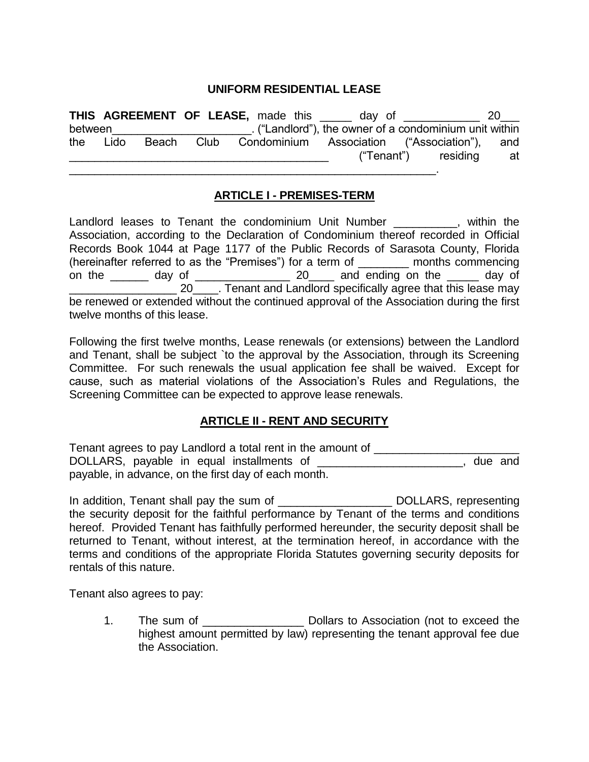#### **UNIFORM RESIDENTIAL LEASE**

**THIS AGREEMENT OF LEASE,** made this \_\_\_\_\_ day of \_\_\_\_\_\_\_\_\_\_\_\_ 20\_\_\_ between entity and the set of a condominium unit within between the owner of a condominium unit within the Lido Beach Club Condominium Association ("Association"), and ("Tenant") residing at \_\_\_\_\_\_\_\_\_\_\_\_\_\_\_\_\_\_\_\_\_\_\_\_\_\_\_\_\_\_\_\_\_\_\_\_\_\_\_\_\_\_\_\_\_\_\_\_\_\_\_\_\_\_\_\_\_\_.

#### **ARTICLE I - PREMISES-TERM**

Landlord leases to Tenant the condominium Unit Number \_\_\_\_\_\_\_\_\_, within the Association, according to the Declaration of Condominium thereof recorded in Official Records Book 1044 at Page 1177 of the Public Records of Sarasota County, Florida (hereinafter referred to as the "Premises") for a term of \_\_\_\_\_\_\_\_ months commencing on the day of  $20$  and ending on the day of 20 . Tenant and Landlord specifically agree that this lease may be renewed or extended without the continued approval of the Association during the first twelve months of this lease.

Following the first twelve months, Lease renewals (or extensions) between the Landlord and Tenant, shall be subject `to the approval by the Association, through its Screening Committee. For such renewals the usual application fee shall be waived. Except for cause, such as material violations of the Association's Rules and Regulations, the Screening Committee can be expected to approve lease renewals.

#### **ARTICLE II - RENT AND SECURITY**

Tenant agrees to pay Landlord a total rent in the amount of \_\_\_\_\_\_\_\_\_\_\_\_\_\_\_\_\_\_\_\_ DOLLARS, payable in equal installments of **Example 20** and the and payable, in advance, on the first day of each month.

In addition, Tenant shall pay the sum of \_\_\_\_\_\_\_\_\_\_\_\_\_\_\_\_\_\_ DOLLARS, representing the security deposit for the faithful performance by Tenant of the terms and conditions hereof. Provided Tenant has faithfully performed hereunder, the security deposit shall be returned to Tenant, without interest, at the termination hereof, in accordance with the terms and conditions of the appropriate Florida Statutes governing security deposits for rentals of this nature.

Tenant also agrees to pay:

1. The sum of The sum of  $Dollars$  to Association (not to exceed the highest amount permitted by law) representing the tenant approval fee due the Association.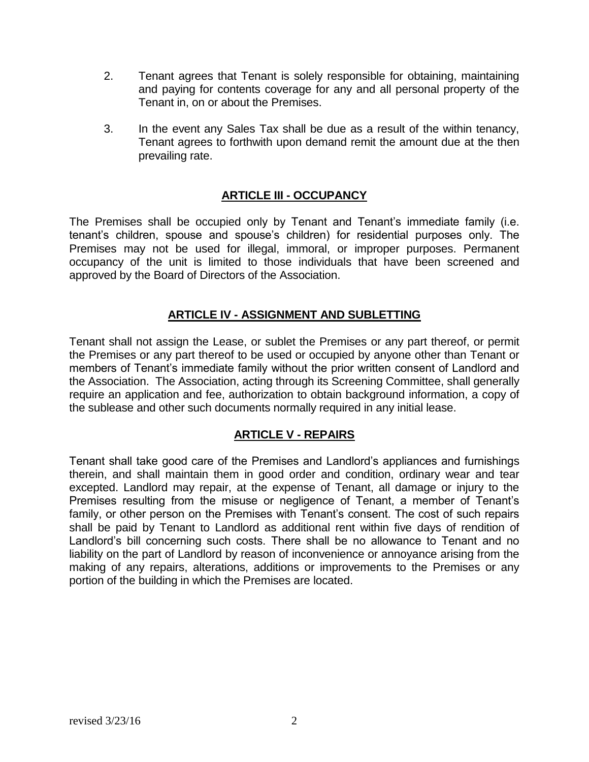- 2. Tenant agrees that Tenant is solely responsible for obtaining, maintaining and paying for contents coverage for any and all personal property of the Tenant in, on or about the Premises.
- 3. In the event any Sales Tax shall be due as a result of the within tenancy, Tenant agrees to forthwith upon demand remit the amount due at the then prevailing rate.

# **ARTICLE III - OCCUPANCY**

The Premises shall be occupied only by Tenant and Tenant's immediate family (i.e. tenant's children, spouse and spouse's children) for residential purposes only. The Premises may not be used for illegal, immoral, or improper purposes. Permanent occupancy of the unit is limited to those individuals that have been screened and approved by the Board of Directors of the Association.

#### **ARTICLE IV - ASSIGNMENT AND SUBLETTING**

Tenant shall not assign the Lease, or sublet the Premises or any part thereof, or permit the Premises or any part thereof to be used or occupied by anyone other than Tenant or members of Tenant's immediate family without the prior written consent of Landlord and the Association. The Association, acting through its Screening Committee, shall generally require an application and fee, authorization to obtain background information, a copy of the sublease and other such documents normally required in any initial lease.

#### **ARTICLE V - REPAIRS**

Tenant shall take good care of the Premises and Landlord's appliances and furnishings therein, and shall maintain them in good order and condition, ordinary wear and tear excepted. Landlord may repair, at the expense of Tenant, all damage or injury to the Premises resulting from the misuse or negligence of Tenant, a member of Tenant's family, or other person on the Premises with Tenant's consent. The cost of such repairs shall be paid by Tenant to Landlord as additional rent within five days of rendition of Landlord's bill concerning such costs. There shall be no allowance to Tenant and no liability on the part of Landlord by reason of inconvenience or annoyance arising from the making of any repairs, alterations, additions or improvements to the Premises or any portion of the building in which the Premises are located.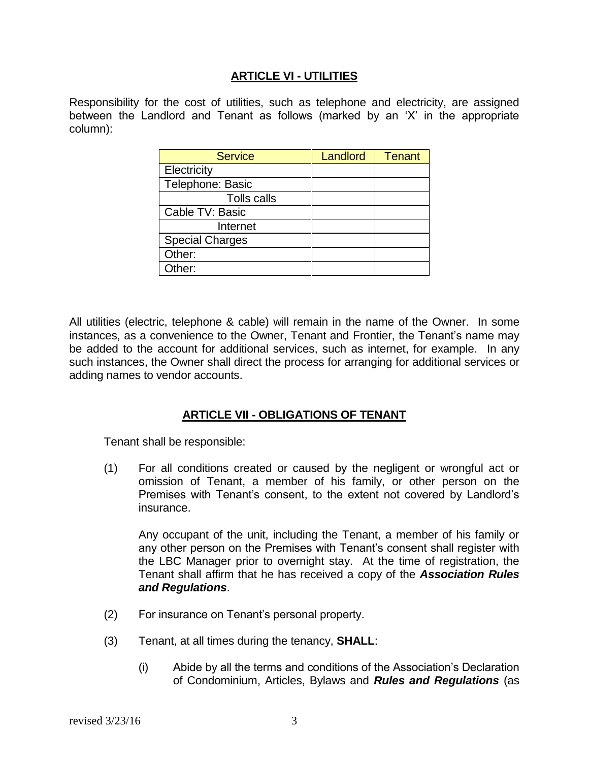#### **ARTICLE VI - UTILITIES**

Responsibility for the cost of utilities, such as telephone and electricity, are assigned between the Landlord and Tenant as follows (marked by an 'X' in the appropriate column):

| <b>Service</b>         | Landlord | <b>Tenant</b> |
|------------------------|----------|---------------|
| Electricity            |          |               |
| Telephone: Basic       |          |               |
| Tolls calls            |          |               |
| Cable TV: Basic        |          |               |
| Internet               |          |               |
| <b>Special Charges</b> |          |               |
| Other:                 |          |               |
| Other:                 |          |               |

All utilities (electric, telephone & cable) will remain in the name of the Owner. In some instances, as a convenience to the Owner, Tenant and Frontier, the Tenant's name may be added to the account for additional services, such as internet, for example. In any such instances, the Owner shall direct the process for arranging for additional services or adding names to vendor accounts.

#### **ARTICLE VII - OBLIGATIONS OF TENANT**

Tenant shall be responsible:

(1) For all conditions created or caused by the negligent or wrongful act or omission of Tenant, a member of his family, or other person on the Premises with Tenant's consent, to the extent not covered by Landlord's insurance.

Any occupant of the unit, including the Tenant, a member of his family or any other person on the Premises with Tenant's consent shall register with the LBC Manager prior to overnight stay. At the time of registration, the Tenant shall affirm that he has received a copy of the *Association Rules and Regulations*.

- (2) For insurance on Tenant's personal property.
- (3) Tenant, at all times during the tenancy, **SHALL**:
	- (i) Abide by all the terms and conditions of the Association's Declaration of Condominium, Articles, Bylaws and *Rules and Regulations* (as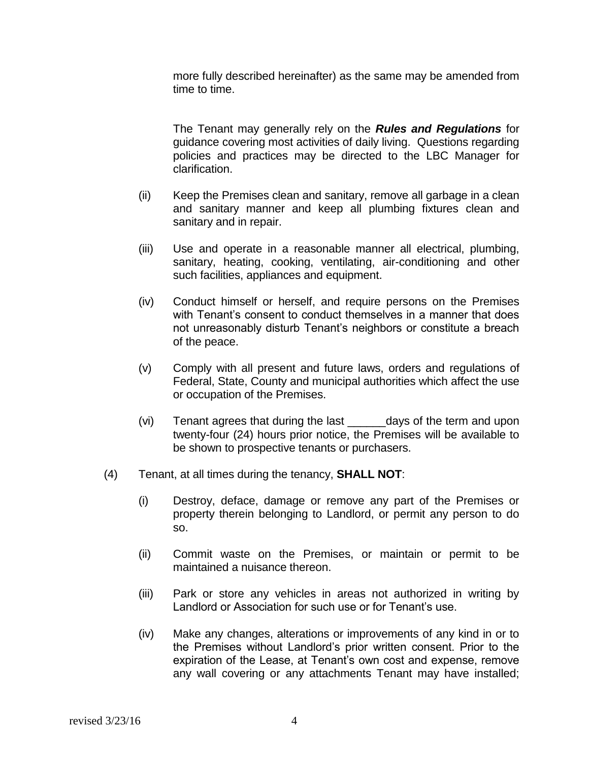more fully described hereinafter) as the same may be amended from time to time.

The Tenant may generally rely on the *Rules and Regulations* for guidance covering most activities of daily living. Questions regarding policies and practices may be directed to the LBC Manager for clarification.

- (ii) Keep the Premises clean and sanitary, remove all garbage in a clean and sanitary manner and keep all plumbing fixtures clean and sanitary and in repair.
- (iii) Use and operate in a reasonable manner all electrical, plumbing, sanitary, heating, cooking, ventilating, air-conditioning and other such facilities, appliances and equipment.
- (iv) Conduct himself or herself, and require persons on the Premises with Tenant's consent to conduct themselves in a manner that does not unreasonably disturb Tenant's neighbors or constitute a breach of the peace.
- (v) Comply with all present and future laws, orders and regulations of Federal, State, County and municipal authorities which affect the use or occupation of the Premises.
- (vi) Tenant agrees that during the last \_\_\_\_\_\_days of the term and upon twenty-four (24) hours prior notice, the Premises will be available to be shown to prospective tenants or purchasers.
- (4) Tenant, at all times during the tenancy, **SHALL NOT**:
	- (i) Destroy, deface, damage or remove any part of the Premises or property therein belonging to Landlord, or permit any person to do so.
	- (ii) Commit waste on the Premises, or maintain or permit to be maintained a nuisance thereon.
	- (iii) Park or store any vehicles in areas not authorized in writing by Landlord or Association for such use or for Tenant's use.
	- (iv) Make any changes, alterations or improvements of any kind in or to the Premises without Landlord's prior written consent. Prior to the expiration of the Lease, at Tenant's own cost and expense, remove any wall covering or any attachments Tenant may have installed;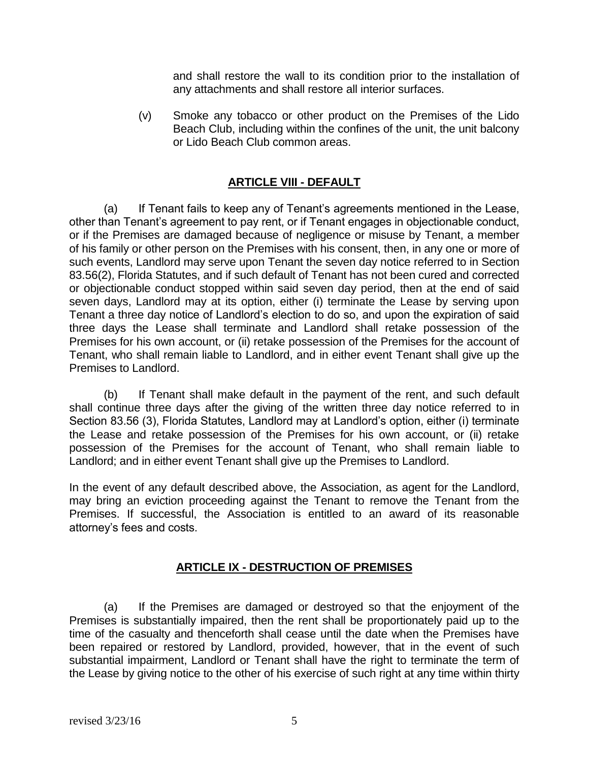and shall restore the wall to its condition prior to the installation of any attachments and shall restore all interior surfaces.

(v) Smoke any tobacco or other product on the Premises of the Lido Beach Club, including within the confines of the unit, the unit balcony or Lido Beach Club common areas.

# **ARTICLE VIII - DEFAULT**

(a) If Tenant fails to keep any of Tenant's agreements mentioned in the Lease, other than Tenant's agreement to pay rent, or if Tenant engages in objectionable conduct, or if the Premises are damaged because of negligence or misuse by Tenant, a member of his family or other person on the Premises with his consent, then, in any one or more of such events, Landlord may serve upon Tenant the seven day notice referred to in Section 83.56(2), Florida Statutes, and if such default of Tenant has not been cured and corrected or objectionable conduct stopped within said seven day period, then at the end of said seven days, Landlord may at its option, either (i) terminate the Lease by serving upon Tenant a three day notice of Landlord's election to do so, and upon the expiration of said three days the Lease shall terminate and Landlord shall retake possession of the Premises for his own account, or (ii) retake possession of the Premises for the account of Tenant, who shall remain liable to Landlord, and in either event Tenant shall give up the Premises to Landlord.

(b) If Tenant shall make default in the payment of the rent, and such default shall continue three days after the giving of the written three day notice referred to in Section 83.56 (3), Florida Statutes, Landlord may at Landlord's option, either (i) terminate the Lease and retake possession of the Premises for his own account, or (ii) retake possession of the Premises for the account of Tenant, who shall remain liable to Landlord; and in either event Tenant shall give up the Premises to Landlord.

In the event of any default described above, the Association, as agent for the Landlord, may bring an eviction proceeding against the Tenant to remove the Tenant from the Premises. If successful, the Association is entitled to an award of its reasonable attorney's fees and costs.

# **ARTICLE IX - DESTRUCTION OF PREMISES**

(a) If the Premises are damaged or destroyed so that the enjoyment of the Premises is substantially impaired, then the rent shall be proportionately paid up to the time of the casualty and thenceforth shall cease until the date when the Premises have been repaired or restored by Landlord, provided, however, that in the event of such substantial impairment, Landlord or Tenant shall have the right to terminate the term of the Lease by giving notice to the other of his exercise of such right at any time within thirty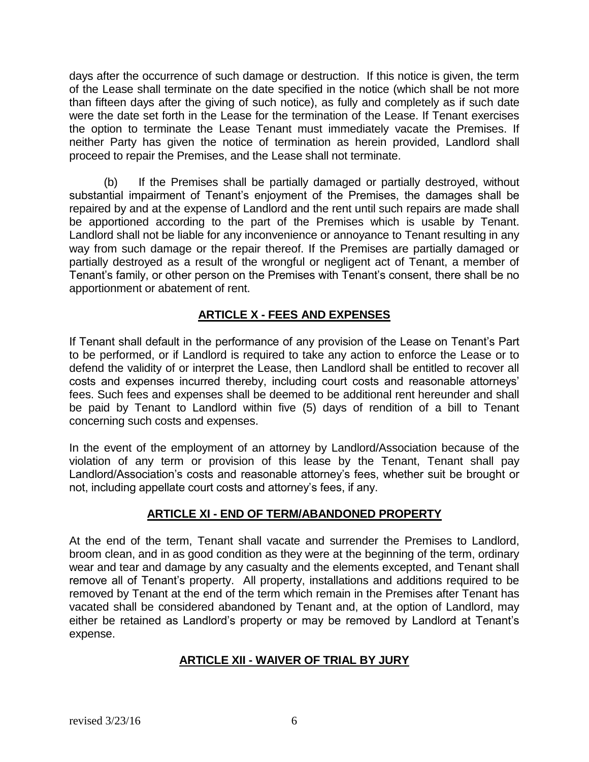days after the occurrence of such damage or destruction. If this notice is given, the term of the Lease shall terminate on the date specified in the notice (which shall be not more than fifteen days after the giving of such notice), as fully and completely as if such date were the date set forth in the Lease for the termination of the Lease. If Tenant exercises the option to terminate the Lease Tenant must immediately vacate the Premises. If neither Party has given the notice of termination as herein provided, Landlord shall proceed to repair the Premises, and the Lease shall not terminate.

(b) If the Premises shall be partially damaged or partially destroyed, without substantial impairment of Tenant's enjoyment of the Premises, the damages shall be repaired by and at the expense of Landlord and the rent until such repairs are made shall be apportioned according to the part of the Premises which is usable by Tenant. Landlord shall not be liable for any inconvenience or annoyance to Tenant resulting in any way from such damage or the repair thereof. If the Premises are partially damaged or partially destroyed as a result of the wrongful or negligent act of Tenant, a member of Tenant's family, or other person on the Premises with Tenant's consent, there shall be no apportionment or abatement of rent.

# **ARTICLE X - FEES AND EXPENSES**

If Tenant shall default in the performance of any provision of the Lease on Tenant's Part to be performed, or if Landlord is required to take any action to enforce the Lease or to defend the validity of or interpret the Lease, then Landlord shall be entitled to recover all costs and expenses incurred thereby, including court costs and reasonable attorneys' fees. Such fees and expenses shall be deemed to be additional rent hereunder and shall be paid by Tenant to Landlord within five (5) days of rendition of a bill to Tenant concerning such costs and expenses.

In the event of the employment of an attorney by Landlord/Association because of the violation of any term or provision of this lease by the Tenant, Tenant shall pay Landlord/Association's costs and reasonable attorney's fees, whether suit be brought or not, including appellate court costs and attorney's fees, if any.

# **ARTICLE XI - END OF TERM/ABANDONED PROPERTY**

At the end of the term, Tenant shall vacate and surrender the Premises to Landlord, broom clean, and in as good condition as they were at the beginning of the term, ordinary wear and tear and damage by any casualty and the elements excepted, and Tenant shall remove all of Tenant's property. All property, installations and additions required to be removed by Tenant at the end of the term which remain in the Premises after Tenant has vacated shall be considered abandoned by Tenant and, at the option of Landlord, may either be retained as Landlord's property or may be removed by Landlord at Tenant's expense.

# **ARTICLE XII - WAIVER OF TRIAL BY JURY**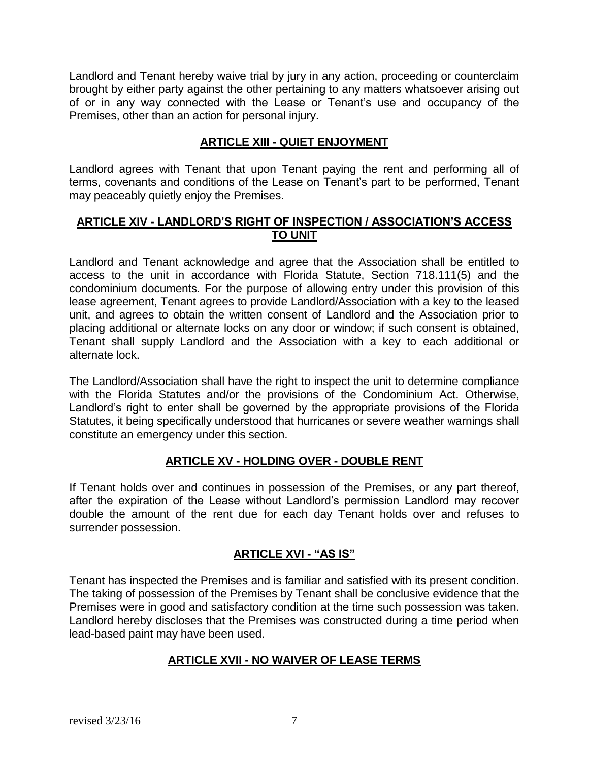Landlord and Tenant hereby waive trial by jury in any action, proceeding or counterclaim brought by either party against the other pertaining to any matters whatsoever arising out of or in any way connected with the Lease or Tenant's use and occupancy of the Premises, other than an action for personal injury.

# **ARTICLE XIII - QUIET ENJOYMENT**

Landlord agrees with Tenant that upon Tenant paying the rent and performing all of terms, covenants and conditions of the Lease on Tenant's part to be performed, Tenant may peaceably quietly enjoy the Premises.

#### **ARTICLE XIV - LANDLORD'S RIGHT OF INSPECTION / ASSOCIATION'S ACCESS TO UNIT**

Landlord and Tenant acknowledge and agree that the Association shall be entitled to access to the unit in accordance with Florida Statute, Section 718.111(5) and the condominium documents. For the purpose of allowing entry under this provision of this lease agreement, Tenant agrees to provide Landlord/Association with a key to the leased unit, and agrees to obtain the written consent of Landlord and the Association prior to placing additional or alternate locks on any door or window; if such consent is obtained, Tenant shall supply Landlord and the Association with a key to each additional or alternate lock.

The Landlord/Association shall have the right to inspect the unit to determine compliance with the Florida Statutes and/or the provisions of the Condominium Act. Otherwise, Landlord's right to enter shall be governed by the appropriate provisions of the Florida Statutes, it being specifically understood that hurricanes or severe weather warnings shall constitute an emergency under this section.

# **ARTICLE XV - HOLDING OVER - DOUBLE RENT**

If Tenant holds over and continues in possession of the Premises, or any part thereof, after the expiration of the Lease without Landlord's permission Landlord may recover double the amount of the rent due for each day Tenant holds over and refuses to surrender possession.

# **ARTICLE XVI - "AS IS"**

Tenant has inspected the Premises and is familiar and satisfied with its present condition. The taking of possession of the Premises by Tenant shall be conclusive evidence that the Premises were in good and satisfactory condition at the time such possession was taken. Landlord hereby discloses that the Premises was constructed during a time period when lead-based paint may have been used.

# **ARTICLE XVII - NO WAIVER OF LEASE TERMS**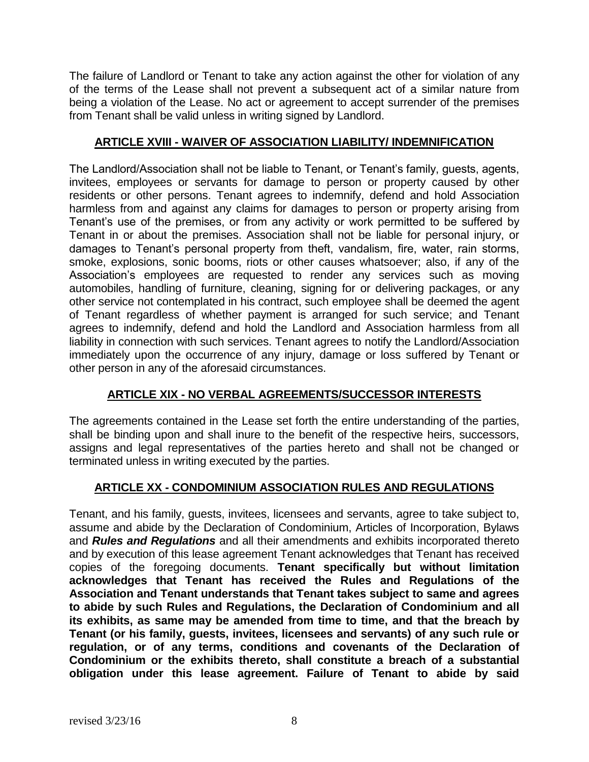The failure of Landlord or Tenant to take any action against the other for violation of any of the terms of the Lease shall not prevent a subsequent act of a similar nature from being a violation of the Lease. No act or agreement to accept surrender of the premises from Tenant shall be valid unless in writing signed by Landlord.

# **ARTICLE XVIII - WAIVER OF ASSOCIATION LIABILITY/ INDEMNIFICATION**

The Landlord/Association shall not be liable to Tenant, or Tenant's family, guests, agents, invitees, employees or servants for damage to person or property caused by other residents or other persons. Tenant agrees to indemnify, defend and hold Association harmless from and against any claims for damages to person or property arising from Tenant's use of the premises, or from any activity or work permitted to be suffered by Tenant in or about the premises. Association shall not be liable for personal injury, or damages to Tenant's personal property from theft, vandalism, fire, water, rain storms, smoke, explosions, sonic booms, riots or other causes whatsoever; also, if any of the Association's employees are requested to render any services such as moving automobiles, handling of furniture, cleaning, signing for or delivering packages, or any other service not contemplated in his contract, such employee shall be deemed the agent of Tenant regardless of whether payment is arranged for such service; and Tenant agrees to indemnify, defend and hold the Landlord and Association harmless from all liability in connection with such services. Tenant agrees to notify the Landlord/Association immediately upon the occurrence of any injury, damage or loss suffered by Tenant or other person in any of the aforesaid circumstances.

# **ARTICLE XIX - NO VERBAL AGREEMENTS/SUCCESSOR INTERESTS**

The agreements contained in the Lease set forth the entire understanding of the parties, shall be binding upon and shall inure to the benefit of the respective heirs, successors, assigns and legal representatives of the parties hereto and shall not be changed or terminated unless in writing executed by the parties.

# **ARTICLE XX - CONDOMINIUM ASSOCIATION RULES AND REGULATIONS**

Tenant, and his family, guests, invitees, licensees and servants, agree to take subject to, assume and abide by the Declaration of Condominium, Articles of Incorporation, Bylaws and *Rules and Regulations* and all their amendments and exhibits incorporated thereto and by execution of this lease agreement Tenant acknowledges that Tenant has received copies of the foregoing documents. **Tenant specifically but without limitation acknowledges that Tenant has received the Rules and Regulations of the Association and Tenant understands that Tenant takes subject to same and agrees to abide by such Rules and Regulations, the Declaration of Condominium and all its exhibits, as same may be amended from time to time, and that the breach by Tenant (or his family, guests, invitees, licensees and servants) of any such rule or regulation, or of any terms, conditions and covenants of the Declaration of Condominium or the exhibits thereto, shall constitute a breach of a substantial obligation under this lease agreement. Failure of Tenant to abide by said**